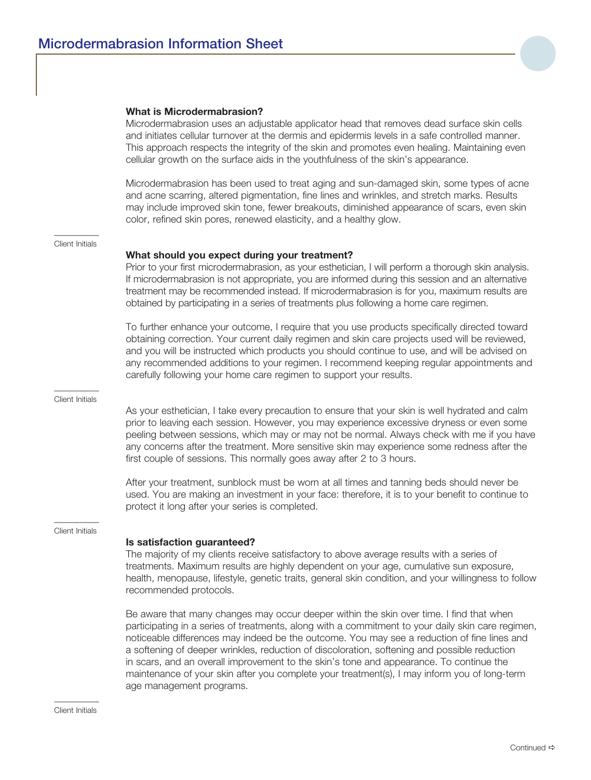## **What is Microdermabrasion?**

Microdermabrasion uses an adjustable applicator head that removes dead surface skin cells and initiates cellular turnover at the dermis and epidermis levels in a safe controlled manner. This approach respects the integrity of the skin and promotes even healing. Maintaining even cellular growth on the surface aids in the youthfulness of the skin's appearance.

Microdermabrasion has been used to treat aging and sun-damaged skin, some types of acne and acne scarring, altered pigmentation, fine lines and wrinkles, and stretch marks. Results may include improved skin tone, fewer breakouts, diminished appearance of scars, even skin color, refined skin pores, renewed elasticity, and a healthy glow.

## $\overline{\phantom{a}}$ Client Initials

## **What should you expect during your treatment?**

Prior to your first microdermabrasion, as your esthetician, I will perform a thorough skin analysis. If microdermabrasion is not appropriate, you are informed during this session and an alternative treatment may be recommended instead. If microdermabrasion is for you, maximum results are obtained by participating in a series of treatments plus following a home care regimen.

To further enhance your outcome, I require that you use products specifically directed toward obtaining correction. Your current daily regimen and skin care projects used will be reviewed, and you will be instructed which products you should continue to use, and will be advised on any recommended additions to your regimen. I recommend keeping regular appointments and carefully following your home care regimen to support your results.

#### $\overline{\phantom{a}}$ Client Initials

As your esthetician, I take every precaution to ensure that your skin is well hydrated and calm prior to leaving each session. However, you may experience excessive dryness or even some peeling between sessions, which may or may not be normal. Always check with me if you have any concerns after the treatment. More sensitive skin may experience some redness after the first couple of sessions. This normally goes away after 2 to 3 hours.

After your treatment, sunblock must be worn at all times and tanning beds should never be used. You are making an investment in your face: therefore, it is to your benefit to continue to protect it long after your series is completed.

#### $\overline{\phantom{a}}$ Client Initials

## **Is satisfaction guaranteed?**

The majority of my clients receive satisfactory to above average results with a series of treatments. Maximum results are highly dependent on your age, cumulative sun exposure, health, menopause, lifestyle, genetic traits, general skin condition, and your willingness to follow recommended protocols.

Be aware that many changes may occur deeper within the skin over time. I find that when participating in a series of treatments, along with a commitment to your daily skin care regimen, noticeable differences may indeed be the outcome. You may see a reduction of fine lines and a softening of deeper wrinkles, reduction of discoloration, softening and possible reduction in scars, and an overall improvement to the skin's tone and appearance. To continue the maintenance of your skin after you complete your treatment(s), I may inform you of long-term age management programs.